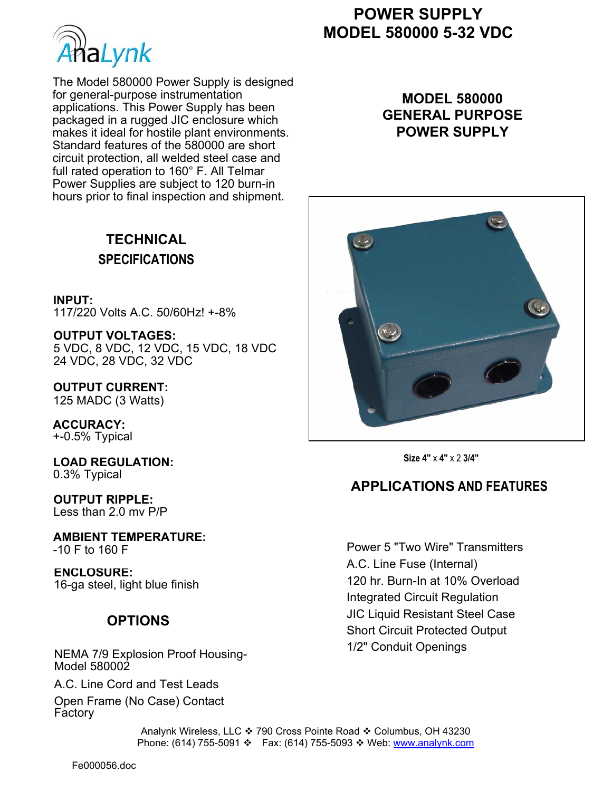

The Model 580000 Power Supply is designed for general-purpose instrumentation applications. This Power Supply has been packaged in a rugged JIC enclosure which makes it ideal for hostile plant environments. Standard features of the 580000 are short circuit protection, all welded steel case and full rated operation to 160° F. All Telmar Power Supplies are subject to 120 burn-in hours prior to final inspection and shipment.

## **TECHNICAL SPECIFICATIONS**

**INPUT:**  117/220 Volts A.C. 50/60Hz! +-8%

**OUTPUT VOLTAGES:**  5 VDC, 8 VDC, 12 VDC, 15 VDC, 18 VDC 24 VDC, 28 VDC, 32 VDC

**OUTPUT CURRENT:**  125 MADC (3 Watts)

**ACCURACY:**  +-0.5% Typical

**LOAD REGULATION:**  0.3% Typical

**OUTPUT RIPPLE:**  Less than 2.0 mv P/P

**AMBIENT TEMPERATURE:**  -10 F to 160 F

**ENCLOSURE:**  16-ga steel, light blue finish

#### **OPTIONS**

NEMA 7/9 Explosion Proof Housing-Model 580002

A.C. Line Cord and Test Leads

Open Frame (No Case) Contact **Factory** 

# **POWER SUPPLY MODEL 580000 5-32 VDC**

### **MODEL 580000 GENERAL PURPOSE POWER SUPPLY**



**Size 4"** x **4"** x 2 **3/4"** 

## **APPLICATIONS AND FEATURES**

Power 5 "Two Wire" Transmitters A.C. Line Fuse (Internal) 120 hr. Burn-In at 10% Overload Integrated Circuit Regulation JIC Liquid Resistant Steel Case Short Circuit Protected Output 1/2" Conduit Openings

Analynk Wireless, LLC ❖ 790 Cross Pointe Road ❖ Columbus, OH 43230 Phone: (614) 755-5091 ❖ Fax: (614) 755-5093 ❖ Web: www.analynk.com